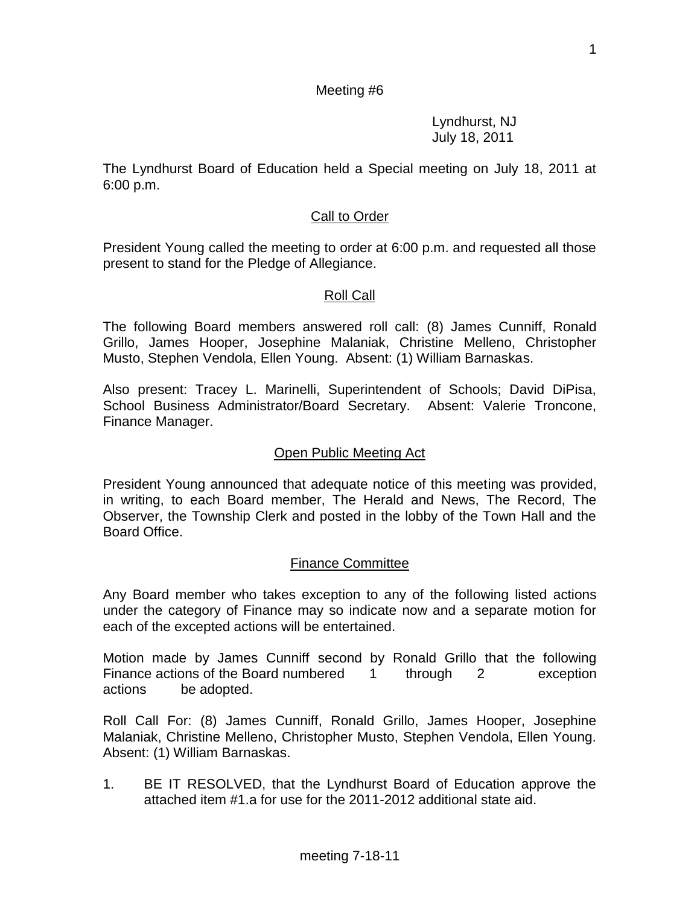### Meeting #6

Lyndhurst, NJ July 18, 2011

The Lyndhurst Board of Education held a Special meeting on July 18, 2011 at 6:00 p.m.

### Call to Order

President Young called the meeting to order at 6:00 p.m. and requested all those present to stand for the Pledge of Allegiance.

#### Roll Call

The following Board members answered roll call: (8) James Cunniff, Ronald Grillo, James Hooper, Josephine Malaniak, Christine Melleno, Christopher Musto, Stephen Vendola, Ellen Young. Absent: (1) William Barnaskas.

Also present: Tracey L. Marinelli, Superintendent of Schools; David DiPisa, School Business Administrator/Board Secretary. Absent: Valerie Troncone, Finance Manager.

#### Open Public Meeting Act

President Young announced that adequate notice of this meeting was provided, in writing, to each Board member, The Herald and News, The Record, The Observer, the Township Clerk and posted in the lobby of the Town Hall and the Board Office.

#### Finance Committee

Any Board member who takes exception to any of the following listed actions under the category of Finance may so indicate now and a separate motion for each of the excepted actions will be entertained.

Motion made by James Cunniff second by Ronald Grillo that the following Finance actions of the Board numbered 1 through 2 exception actions be adopted.

Roll Call For: (8) James Cunniff, Ronald Grillo, James Hooper, Josephine Malaniak, Christine Melleno, Christopher Musto, Stephen Vendola, Ellen Young. Absent: (1) William Barnaskas.

1. BE IT RESOLVED, that the Lyndhurst Board of Education approve the attached item #1.a for use for the 2011-2012 additional state aid.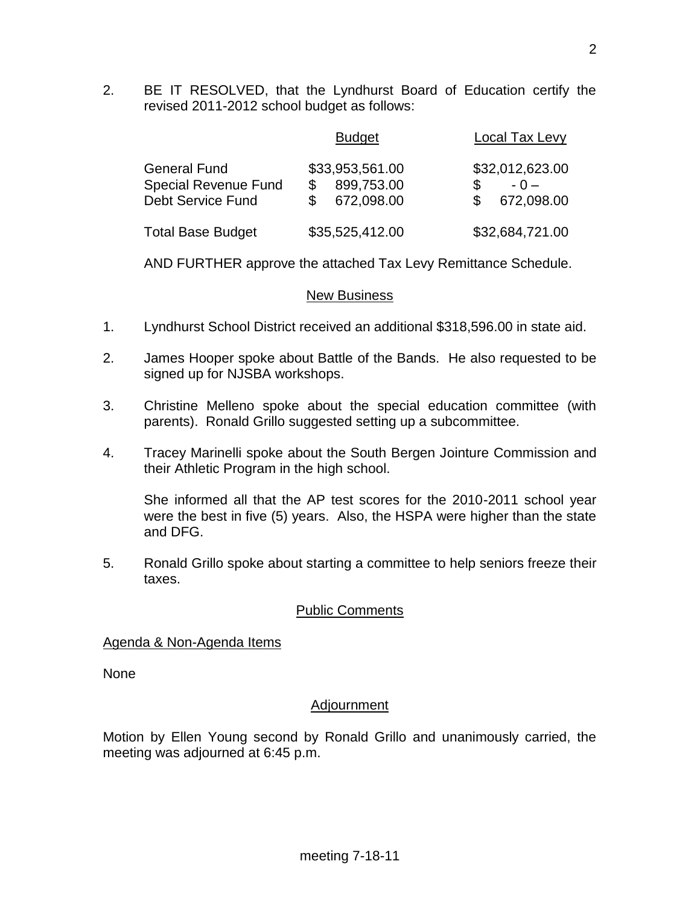2. BE IT RESOLVED, that the Lyndhurst Board of Education certify the revised 2011-2012 school budget as follows:

|                                                                                | <b>Budget</b>                               | Local Tax Levy                         |
|--------------------------------------------------------------------------------|---------------------------------------------|----------------------------------------|
| <b>General Fund</b><br><b>Special Revenue Fund</b><br><b>Debt Service Fund</b> | \$33,953,561.00<br>899,753.00<br>672,098.00 | \$32,012,623.00<br>$-0-$<br>672,098.00 |
| <b>Total Base Budget</b>                                                       | \$35,525,412.00                             | \$32,684,721.00                        |

AND FURTHER approve the attached Tax Levy Remittance Schedule.

### New Business

- 1. Lyndhurst School District received an additional \$318,596.00 in state aid.
- 2. James Hooper spoke about Battle of the Bands. He also requested to be signed up for NJSBA workshops.
- 3. Christine Melleno spoke about the special education committee (with parents). Ronald Grillo suggested setting up a subcommittee.
- 4. Tracey Marinelli spoke about the South Bergen Jointure Commission and their Athletic Program in the high school.

She informed all that the AP test scores for the 2010-2011 school year were the best in five (5) years. Also, the HSPA were higher than the state and DFG.

5. Ronald Grillo spoke about starting a committee to help seniors freeze their taxes.

# Public Comments

# Agenda & Non-Agenda Items

None

# Adjournment

Motion by Ellen Young second by Ronald Grillo and unanimously carried, the meeting was adjourned at 6:45 p.m.